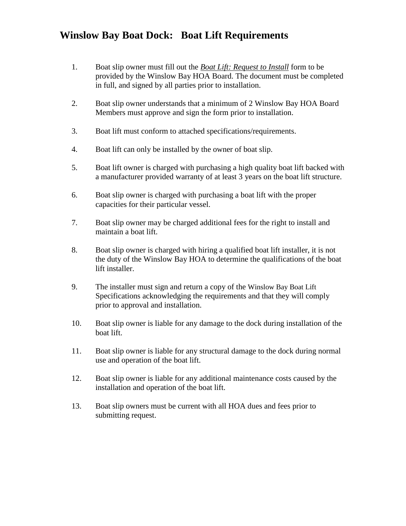# **Winslow Bay Boat Dock: Boat Lift Requirements**

- 1. Boat slip owner must fill out the *Boat Lift: Request to Install* form to be provided by the Winslow Bay HOA Board. The document must be completed in full, and signed by all parties prior to installation.
- 2. Boat slip owner understands that a minimum of 2 Winslow Bay HOA Board Members must approve and sign the form prior to installation.
- 3. Boat lift must conform to attached specifications/requirements.
- 4. Boat lift can only be installed by the owner of boat slip.
- 5. Boat lift owner is charged with purchasing a high quality boat lift backed with a manufacturer provided warranty of at least 3 years on the boat lift structure.
- 6. Boat slip owner is charged with purchasing a boat lift with the proper capacities for their particular vessel.
- 7. Boat slip owner may be charged additional fees for the right to install and maintain a boat lift.
- 8. Boat slip owner is charged with hiring a qualified boat lift installer, it is not the duty of the Winslow Bay HOA to determine the qualifications of the boat lift installer.
- 9. The installer must sign and return a copy of the Winslow Bay Boat Lift Specifications acknowledging the requirements and that they will comply prior to approval and installation.
- 10. Boat slip owner is liable for any damage to the dock during installation of the boat lift.
- 11. Boat slip owner is liable for any structural damage to the dock during normal use and operation of the boat lift.
- 12. Boat slip owner is liable for any additional maintenance costs caused by the installation and operation of the boat lift.
- 13. Boat slip owners must be current with all HOA dues and fees prior to submitting request.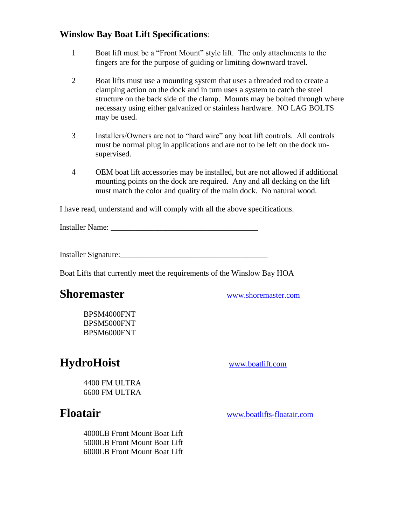### **Winslow Bay Boat Lift Specifications**:

- 1 Boat lift must be a "Front Mount" style lift. The only attachments to the fingers are for the purpose of guiding or limiting downward travel.
- 2 Boat lifts must use a mounting system that uses a threaded rod to create a clamping action on the dock and in turn uses a system to catch the steel structure on the back side of the clamp. Mounts may be bolted through where necessary using either galvanized or stainless hardware. NO LAG BOLTS may be used.
- 3 Installers/Owners are not to "hard wire" any boat lift controls. All controls must be normal plug in applications and are not to be left on the dock unsupervised.
- 4 OEM boat lift accessories may be installed, but are not allowed if additional mounting points on the dock are required. Any and all decking on the lift must match the color and quality of the main dock. No natural wood.

I have read, understand and will comply with all the above specifications.

Installer Name: \_\_\_\_\_\_\_\_\_\_\_\_\_\_\_\_\_\_\_\_\_\_\_\_\_\_\_\_\_\_\_\_\_\_\_\_\_

Installer Signature:\_\_\_\_\_\_\_\_\_\_\_\_\_\_\_\_\_\_\_\_\_\_\_\_\_\_\_\_\_\_\_\_\_\_\_\_\_

Boat Lifts that currently meet the requirements of the Winslow Bay HOA

# **Shoremaster** [www.shoremaster.com](http://www.shoremaster.com/)

BPSM4000FNT BPSM5000FNT BPSM6000FNT

# **HydroHoist** [www.boatlift.com](http://www.boatlift.com/)

4400 FM ULTRA 6600 FM ULTRA

**Floatair** [www.boatlifts-floatair.com](http://www.boatlifts-floatair.com/)

4000LB Front Mount Boat Lift 5000LB Front Mount Boat Lift 6000LB Front Mount Boat Lift